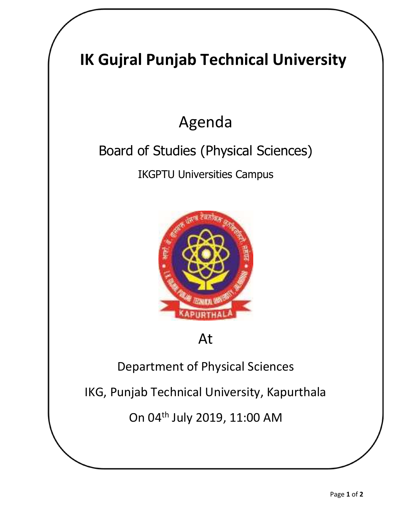